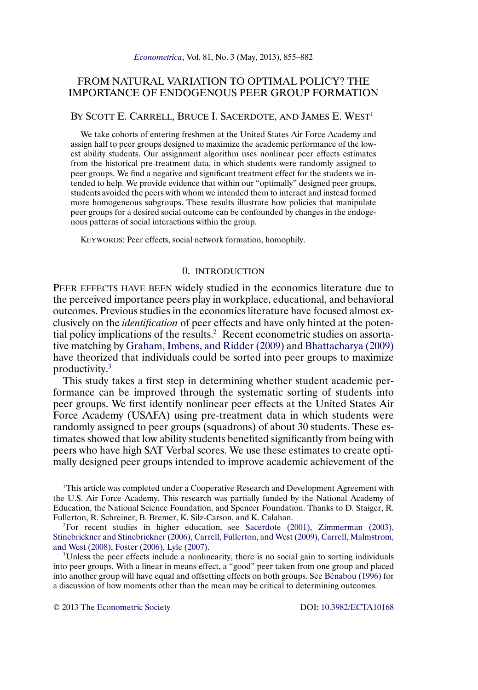# <span id="page-0-0"></span>FROM NATURAL VARIATION TO OPTIMAL POLICY? THE IMPORTANCE OF ENDOGENOUS PEER GROUP FORMATION

### BY SCOTT E. CARRELL, BRUCE I. SACERDOTE, AND JAMES E. WEST<sup>1</sup>

We take cohorts of entering freshmen at the United States Air Force Academy and assign half to peer groups designed to maximize the academic performance of the lowest ability students. Our assignment algorithm uses nonlinear peer effects estimates from the historical pre-treatment data, in which students were randomly assigned to peer groups. We find a negative and significant treatment effect for the students we intended to help. We provide evidence that within our "optimally" designed peer groups, students avoided the peers with whom we intended them to interact and instead formed more homogeneous subgroups. These results illustrate how policies that manipulate peer groups for a desired social outcome can be confounded by changes in the endogenous patterns of social interactions within the group.

KEYWORDS: Peer effects, social network formation, homophily.

## 0. INTRODUCTION

PEER EFFECTS HAVE BEEN widely studied in the economics literature due to the perceived importance peers play in workplace, educational, and behavioral outcomes. Previous studies in the economics literature have focused almost exclusively on the *identification* of peer effects and have only hinted at the potential policy implications of the results.2 Recent econometric studies on assortative matching by [Graham, Imbens, and Ridder \(2009\)](#page-26-0) and [Bhattacharya \(2009\)](#page-26-0) have theorized that individuals could be sorted into peer groups to maximize productivity.3

This study takes a first step in determining whether student academic performance can be improved through the systematic sorting of students into peer groups. We first identify nonlinear peer effects at the United States Air Force Academy (USAFA) using pre-treatment data in which students were randomly assigned to peer groups (squadrons) of about 30 students. These estimates showed that low ability students benefited significantly from being with peers who have high SAT Verbal scores. We use these estimates to create optimally designed peer groups intended to improve academic achievement of the

<sup>1</sup>This article was completed under a Cooperative Research and Development Agreement with the U.S. Air Force Academy. This research was partially funded by the National Academy of Education, the National Science Foundation, and Spencer Foundation. Thanks to D. Staiger, R. Fullerton, R. Schreiner, B. Bremer, K. Silz-Carson, and K. Calahan.

<sup>2</sup>For recent studies in higher education, see [Sacerdote \(2001\), Zimmerman \(2003\),](#page-27-0) [Stinebrickner and Stinebrickner \(2006\), Carrell, Fullerton, and West \(2009\), Carrell, Malmstrom,](#page-27-0) [and West \(2008\), Foster \(2006\), Lyle \(2007\).](#page-27-0)

<sup>3</sup>Unless the peer effects include a nonlinearity, there is no social gain to sorting individuals into peer groups. With a linear in means effect, a "good" peer taken from one group and placed into another group will have equal and offsetting effects on both groups. See [Bénabou \(1996\)](#page-26-0) for a discussion of how moments other than the mean may be critical to determining outcomes.

© 2013 [The Econometric Society](http://www.econometricsociety.org/) DOI: [10.3982/ECTA10168](http://dx.doi.org/10.3982/ECTA10168)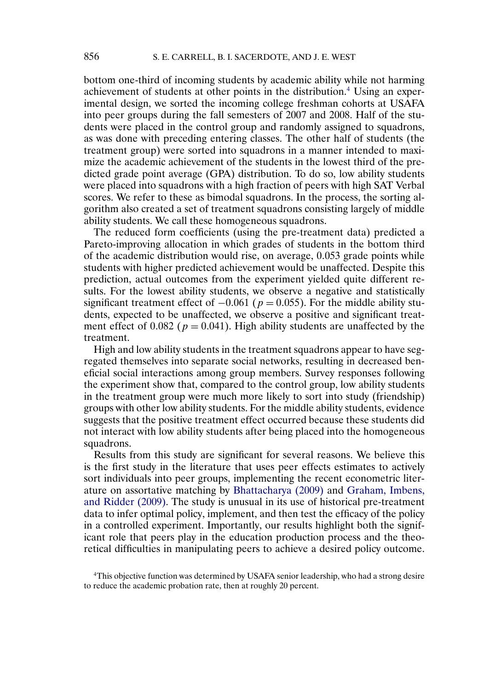<span id="page-1-0"></span>bottom one-third of incoming students by academic ability while not harming achievement of students at other points in the distribution.4 Using an experimental design, we sorted the incoming college freshman cohorts at USAFA into peer groups during the fall semesters of 2007 and 2008. Half of the students were placed in the control group and randomly assigned to squadrons, as was done with preceding entering classes. The other half of students (the treatment group) were sorted into squadrons in a manner intended to maximize the academic achievement of the students in the lowest third of the predicted grade point average (GPA) distribution. To do so, low ability students were placed into squadrons with a high fraction of peers with high SAT Verbal scores. We refer to these as bimodal squadrons. In the process, the sorting algorithm also created a set of treatment squadrons consisting largely of middle ability students. We call these homogeneous squadrons.

The reduced form coefficients (using the pre-treatment data) predicted a Pareto-improving allocation in which grades of students in the bottom third of the academic distribution would rise, on average, 0-053 grade points while students with higher predicted achievement would be unaffected. Despite this prediction, actual outcomes from the experiment yielded quite different results. For the lowest ability students, we observe a negative and statistically significant treatment effect of  $-0.061$  ( $p = 0.055$ ). For the middle ability students, expected to be unaffected, we observe a positive and significant treatment effect of 0.082 ( $p = 0.041$ ). High ability students are unaffected by the treatment.

High and low ability students in the treatment squadrons appear to have segregated themselves into separate social networks, resulting in decreased beneficial social interactions among group members. Survey responses following the experiment show that, compared to the control group, low ability students in the treatment group were much more likely to sort into study (friendship) groups with other low ability students. For the middle ability students, evidence suggests that the positive treatment effect occurred because these students did not interact with low ability students after being placed into the homogeneous squadrons.

Results from this study are significant for several reasons. We believe this is the first study in the literature that uses peer effects estimates to actively sort individuals into peer groups, implementing the recent econometric literature on assortative matching by [Bhattacharya \(2009\)](#page-26-0) and [Graham, Imbens,](#page-26-0) [and Ridder \(2009\).](#page-26-0) The study is unusual in its use of historical pre-treatment data to infer optimal policy, implement, and then test the efficacy of the policy in a controlled experiment. Importantly, our results highlight both the significant role that peers play in the education production process and the theoretical difficulties in manipulating peers to achieve a desired policy outcome.

4This objective function was determined by USAFA senior leadership, who had a strong desire to reduce the academic probation rate, then at roughly 20 percent.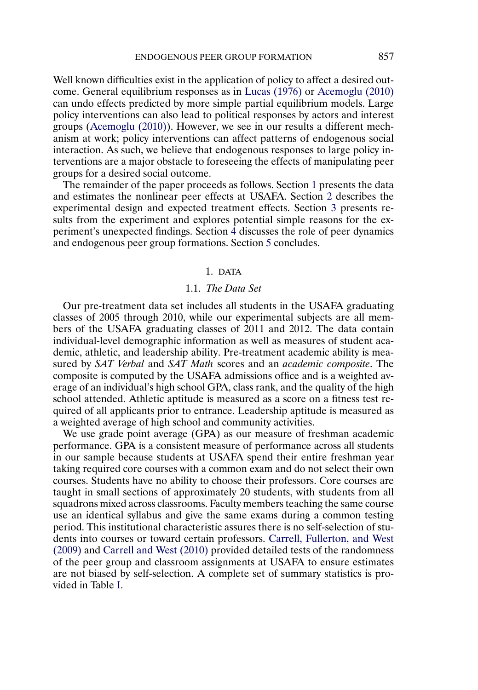<span id="page-2-0"></span>Well known difficulties exist in the application of policy to affect a desired outcome. General equilibrium responses as in [Lucas \(1976\)](#page-26-0) or [Acemoglu \(2010\)](#page-26-0) can undo effects predicted by more simple partial equilibrium models. Large policy interventions can also lead to political responses by actors and interest groups [\(Acemoglu \(2010\)\)](#page-26-0). However, we see in our results a different mechanism at work; policy interventions can affect patterns of endogenous social interaction. As such, we believe that endogenous responses to large policy interventions are a major obstacle to foreseeing the effects of manipulating peer groups for a desired social outcome.

The remainder of the paper proceeds as follows. Section 1 presents the data and estimates the nonlinear peer effects at USAFA. Section [2](#page-7-0) describes the experimental design and expected treatment effects. Section [3](#page-16-0) presents results from the experiment and explores potential simple reasons for the experiment's unexpected findings. Section [4](#page-18-0) discusses the role of peer dynamics and endogenous peer group formations. Section [5](#page-25-0) concludes.

## 1. DATA

## 1.1. *The Data Set*

Our pre-treatment data set includes all students in the USAFA graduating classes of 2005 through 2010, while our experimental subjects are all members of the USAFA graduating classes of 2011 and 2012. The data contain individual-level demographic information as well as measures of student academic, athletic, and leadership ability. Pre-treatment academic ability is measured by *SAT Verbal* and *SAT Math* scores and an *academic composite*. The composite is computed by the USAFA admissions office and is a weighted average of an individual's high school GPA, class rank, and the quality of the high school attended. Athletic aptitude is measured as a score on a fitness test required of all applicants prior to entrance. Leadership aptitude is measured as a weighted average of high school and community activities.

We use grade point average (GPA) as our measure of freshman academic performance. GPA is a consistent measure of performance across all students in our sample because students at USAFA spend their entire freshman year taking required core courses with a common exam and do not select their own courses. Students have no ability to choose their professors. Core courses are taught in small sections of approximately 20 students, with students from all squadrons mixed across classrooms. Faculty members teaching the same course use an identical syllabus and give the same exams during a common testing period. This institutional characteristic assures there is no self-selection of students into courses or toward certain professors. [Carrell, Fullerton, and West](#page-26-0) [\(2009\)](#page-26-0) and [Carrell and West \(2010\)](#page-26-0) provided detailed tests of the randomness of the peer group and classroom assignments at USAFA to ensure estimates are not biased by self-selection. A complete set of summary statistics is provided in Table [I.](#page-3-0)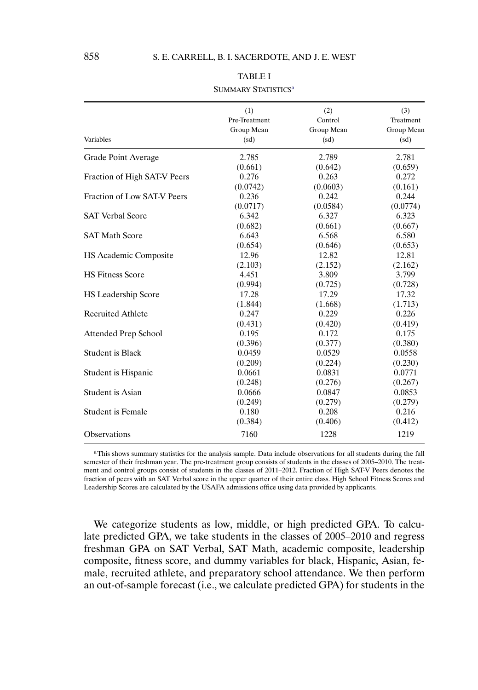<span id="page-3-0"></span>

|                              | (1)           | (2)        | (3)        |
|------------------------------|---------------|------------|------------|
|                              | Pre-Treatment | Control    | Treatment  |
|                              | Group Mean    | Group Mean | Group Mean |
| Variables                    | (sd)          | (sd)       | (sd)       |
| Grade Point Average          | 2.785         | 2.789      | 2.781      |
|                              | (0.661)       | (0.642)    | (0.659)    |
| Fraction of High SAT-V Peers | 0.276         | 0.263      | 0.272      |
|                              | (0.0742)      | (0.0603)   | (0.161)    |
| Fraction of Low SAT-V Peers  | 0.236         | 0.242      | 0.244      |
|                              | (0.0717)      | (0.0584)   | (0.0774)   |
| <b>SAT Verbal Score</b>      | 6.342         | 6.327      | 6.323      |
|                              | (0.682)       | (0.661)    | (0.667)    |
| <b>SAT Math Score</b>        | 6.643         | 6.568      | 6.580      |
|                              | (0.654)       | (0.646)    | (0.653)    |
| <b>HS Academic Composite</b> | 12.96         | 12.82      | 12.81      |
|                              | (2.103)       | (2.152)    | (2.162)    |
| <b>HS Fitness Score</b>      | 4.451         | 3.809      | 3.799      |
|                              | (0.994)       | (0.725)    | (0.728)    |
| <b>HS</b> Leadership Score   | 17.28         | 17.29      | 17.32      |
|                              | (1.844)       | (1.668)    | (1.713)    |
| <b>Recruited Athlete</b>     | 0.247         | 0.229      | 0.226      |
|                              | (0.431)       | (0.420)    | (0.419)    |
| Attended Prep School         | 0.195         | 0.172      | 0.175      |
|                              | (0.396)       | (0.377)    | (0.380)    |
| <b>Student is Black</b>      | 0.0459        | 0.0529     | 0.0558     |
|                              | (0.209)       | (0.224)    | (0.230)    |
| Student is Hispanic          | 0.0661        | 0.0831     | 0.0771     |
|                              | (0.248)       | (0.276)    | (0.267)    |
| <b>Student is Asian</b>      | 0.0666        | 0.0847     | 0.0853     |
|                              | (0.249)       | (0.279)    | (0.279)    |
| <b>Student is Female</b>     | 0.180         | 0.208      | 0.216      |
|                              | (0.384)       | (0.406)    | (0.412)    |
| <b>Observations</b>          | 7160          | 1228       | 1219       |

## TABLE I SUMMARY STATISTICS<sup>a</sup>

aThis shows summary statistics for the analysis sample. Data include observations for all students during the fall semester of their freshman year. The pre-treatment group consists of students in the classes of 2005–2010. The treatment and control groups consist of students in the classes of 2011–2012. Fraction of High SAT-V Peers denotes the fraction of peers with an SAT Verbal score in the upper quarter of their entire class. High School Fitness Scores and Leadership Scores are calculated by the USAFA admissions office using data provided by applicants.

We categorize students as low, middle, or high predicted GPA. To calculate predicted GPA, we take students in the classes of 2005–2010 and regress freshman GPA on SAT Verbal, SAT Math, academic composite, leadership composite, fitness score, and dummy variables for black, Hispanic, Asian, female, recruited athlete, and preparatory school attendance. We then perform an out-of-sample forecast (i.e., we calculate predicted GPA) for students in the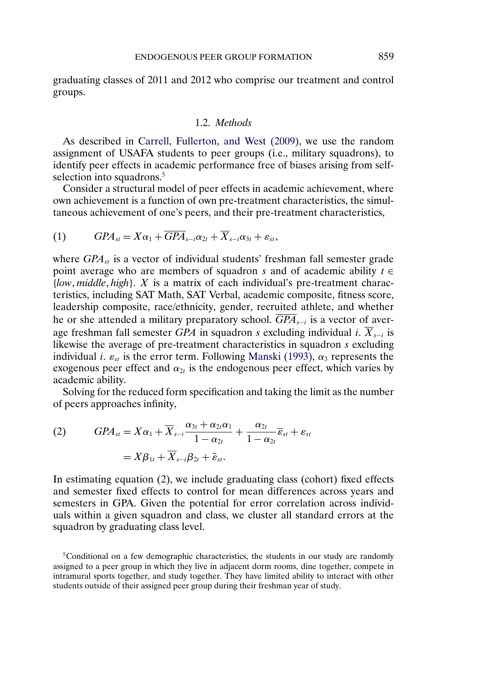<span id="page-4-0"></span>graduating classes of 2011 and 2012 who comprise our treatment and control groups.

## 1.2. *Methods*

As described in [Carrell, Fullerton, and West \(2009\),](#page-26-0) we use the random assignment of USAFA students to peer groups (i.e., military squadrons), to identify peer effects in academic performance free of biases arising from selfselection into squadrons.<sup>5</sup>

Consider a structural model of peer effects in academic achievement, where own achievement is a function of own pre-treatment characteristics, the simultaneous achievement of one's peers, and their pre-treatment characteristics,

$$
(1) \t\t\t GPAst = X\alpha_1 + \overline{GPA}_{s-i}\alpha_{2t} + \overline{X}_{s-i}\alpha_{3t} + \varepsilon_{st},
$$

where  $GPA<sub>st</sub>$  is a vector of individual students' freshman fall semester grade point average who are members of squadron s and of academic ability  $t \in$ {*low middle high*}. X is a matrix of each individual's pre-treatment characteristics, including SAT Math, SAT Verbal, academic composite, fitness score, leadership composite, race/ethnicity, gender, recruited athlete, and whether he or she attended a military preparatory school.  $\overline{GPA}_{s-i}$  is a vector of average freshman fall semester *GPA* in squadron s excluding individual i.  $\overline{X}_{s-i}$  is likewise the average of pre-treatment characteristics in squadron s excluding individual *i.*  $\varepsilon_{st}$  is the error term. Following [Manski \(1993\),](#page-27-0)  $\alpha_3$  represents the exogenous peer effect and  $\alpha_{2t}$  is the endogenous peer effect, which varies by academic ability.

Solving for the reduced form specification and taking the limit as the number of peers approaches infinity,

(2) 
$$
GPA_{st} = X\alpha_1 + \overline{X}_{s-i} \frac{\alpha_{3t} + \alpha_{2t}\alpha_1}{1 - \alpha_{2t}} + \frac{\alpha_{2t}}{1 - \alpha_{2t}} \overline{\epsilon}_{st} + \epsilon_{st}
$$

$$
= X\beta_{1t} + \overline{X}_{s-i}\beta_{2t} + \tilde{\epsilon}_{st}.
$$

In estimating equation (2), we include graduating class (cohort) fixed effects and semester fixed effects to control for mean differences across years and semesters in GPA. Given the potential for error correlation across individuals within a given squadron and class, we cluster all standard errors at the squadron by graduating class level.

<sup>&</sup>lt;sup>5</sup>Conditional on a few demographic characteristics, the students in our study are randomly assigned to a peer group in which they live in adjacent dorm rooms, dine together, compete in intramural sports together, and study together. They have limited ability to interact with other students outside of their assigned peer group during their freshman year of study.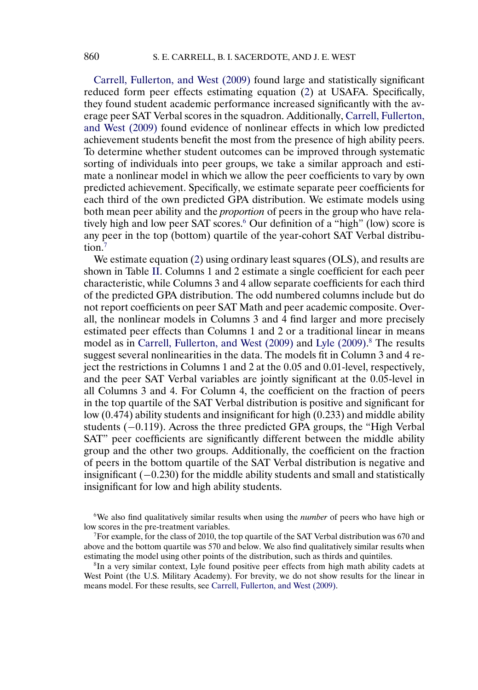<span id="page-5-0"></span>[Carrell, Fullerton, and West \(2009\)](#page-26-0) found large and statistically significant reduced form peer effects estimating equation [\(2\)](#page-4-0) at USAFA. Specifically, they found student academic performance increased significantly with the average peer SAT Verbal scores in the squadron. Additionally, [Carrell, Fullerton,](#page-26-0) [and West \(2009\)](#page-26-0) found evidence of nonlinear effects in which low predicted achievement students benefit the most from the presence of high ability peers. To determine whether student outcomes can be improved through systematic sorting of individuals into peer groups, we take a similar approach and estimate a nonlinear model in which we allow the peer coefficients to vary by own predicted achievement. Specifically, we estimate separate peer coefficients for each third of the own predicted GPA distribution. We estimate models using both mean peer ability and the *proportion* of peers in the group who have relatively high and low peer SAT scores.<sup>6</sup> Our definition of a "high" (low) score is any peer in the top (bottom) quartile of the year-cohort SAT Verbal distribution.7

We estimate equation [\(2\)](#page-4-0) using ordinary least squares (OLS), and results are shown in Table [II.](#page-6-0) Columns 1 and 2 estimate a single coefficient for each peer characteristic, while Columns 3 and 4 allow separate coefficients for each third of the predicted GPA distribution. The odd numbered columns include but do not report coefficients on peer SAT Math and peer academic composite. Overall, the nonlinear models in Columns 3 and 4 find larger and more precisely estimated peer effects than Columns 1 and 2 or a traditional linear in means model as in [Carrell, Fullerton, and West \(2009\)](#page-26-0) and [Lyle \(2009\).](#page-26-0) [8](#page-26-0) The results suggest several nonlinearities in the data. The models fit in Column 3 and 4 reject the restrictions in Columns 1 and 2 at the 0-05 and 0-01-level, respectively, and the peer SAT Verbal variables are jointly significant at the 0-05-level in all Columns 3 and 4. For Column 4, the coefficient on the fraction of peers in the top quartile of the SAT Verbal distribution is positive and significant for low (0-474) ability students and insignificant for high (0-233) and middle ability students (-0.119). Across the three predicted GPA groups, the "High Verbal SAT" peer coefficients are significantly different between the middle ability group and the other two groups. Additionally, the coefficient on the fraction of peers in the bottom quartile of the SAT Verbal distribution is negative and insignificant (−0-230) for the middle ability students and small and statistically insignificant for low and high ability students.

6We also find qualitatively similar results when using the *number* of peers who have high or low scores in the pre-treatment variables.

 $<sup>7</sup>$ For example, for the class of 2010, the top quartile of the SAT Verbal distribution was 670 and</sup> above and the bottom quartile was 570 and below. We also find qualitatively similar results when estimating the model using other points of the distribution, such as thirds and quintiles.

8In a very similar context, Lyle found positive peer effects from high math ability cadets at West Point (the U.S. Military Academy). For brevity, we do not show results for the linear in means model. For these results, see [Carrell, Fullerton, and West \(2009\).](#page-26-0)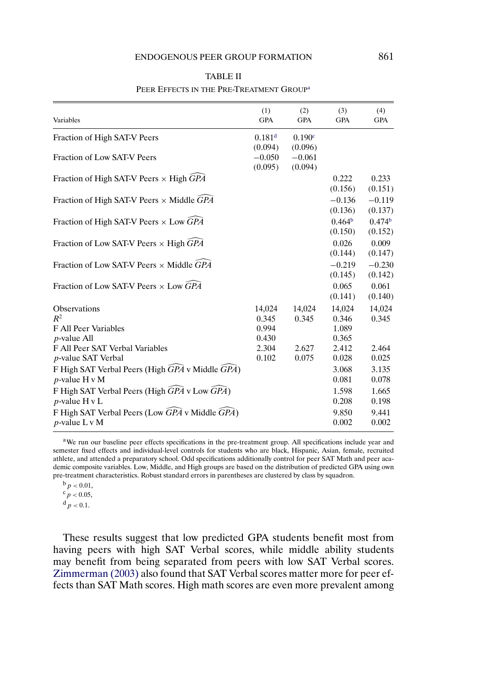<span id="page-6-0"></span>

| Variables                                                          | (1)<br><b>GPA</b>    | (2)<br><b>GPA</b>  | (3)<br><b>GPA</b>  | (4)<br><b>GPA</b>  |
|--------------------------------------------------------------------|----------------------|--------------------|--------------------|--------------------|
| Fraction of High SAT-V Peers                                       | $0.181$ <sup>d</sup> | 0.190 <sup>c</sup> |                    |                    |
|                                                                    | (0.094)              | (0.096)            |                    |                    |
| Fraction of Low SAT-V Peers                                        | $-0.050$             | $-0.061$           |                    |                    |
|                                                                    | (0.095)              | (0.094)            |                    |                    |
| Fraction of High SAT-V Peers $\times$ High GPA                     |                      |                    | 0.222              | 0.233              |
|                                                                    |                      |                    | (0.156)            | (0.151)            |
| Fraction of High SAT-V Peers $\times$ Middle GPA                   |                      |                    | $-0.136$           | $-0.119$           |
|                                                                    |                      |                    | (0.136)            | (0.137)            |
| Fraction of High SAT-V Peers $\times$ Low GPA                      |                      |                    | 0.464 <sup>b</sup> | 0.474 <sup>b</sup> |
|                                                                    |                      |                    | (0.150)            | (0.152)            |
| Fraction of Low SAT-V Peers $\times$ High GPA                      |                      |                    | 0.026              | 0.009              |
|                                                                    |                      |                    | (0.144)            | (0.147)            |
| Fraction of Low SAT-V Peers $\times$ Middle GPA                    |                      |                    | $-0.219$           | $-0.230$           |
|                                                                    |                      |                    | (0.145)            | (0.142)            |
| Fraction of Low SAT-V Peers $\times$ Low $\widehat{G}P\widehat{A}$ |                      |                    | 0.065              | 0.061              |
|                                                                    |                      |                    | (0.141)            | (0.140)            |
| Observations                                                       | 14,024               | 14,024             | 14,024             | 14,024             |
| $R^2$                                                              | 0.345                | 0.345              | 0.346              | 0.345              |
| F All Peer Variables                                               | 0.994                |                    | 1.089              |                    |
| <i>p</i> -value All                                                | 0.430                |                    | 0.365              |                    |
| F All Peer SAT Verbal Variables                                    | 2.304                | 2.627              | 2.412              | 2.464              |
| <i>p</i> -value SAT Verbal                                         | 0.102                | 0.075              | 0.028              | 0.025              |
| F High SAT Verbal Peers (High GPA v Middle GPA)                    |                      |                    | 3.068              | 3.135              |
| $p$ -value H v M                                                   |                      |                    | 0.081              | 0.078              |
| F High SAT Verbal Peers (High GPA v Low GPA)                       |                      |                    | 1.598              | 1.665              |
| $p$ -value H v L                                                   |                      |                    | 0.208              | 0.198              |
| F High SAT Verbal Peers (Low GPA v Middle GPA)                     |                      |                    | 9.850              | 9.441              |
| $p$ -value L v M                                                   |                      |                    | 0.002              | 0.002              |

### TABLE II PEER EFFECTS IN THE PRE-TREATMENT GROUP<sup>a</sup>

aWe run our baseline peer effects specifications in the pre-treatment group. All specifications include year and semester fixed effects and individual-level controls for students who are black, Hispanic, Asian, female, recruited athlete, and attended a preparatory school. Odd specifications additionally control for peer SAT Math and peer academic composite variables. Low, Middle, and High groups are based on the distribution of predicted GPA using own pre-treatment characteristics. Robust standard errors in parentheses are clustered by class by squadron.

 $b_p < 0.01$ ,

 $c_p < 0.05$ ,

 $d p < 0.1$ .

These results suggest that low predicted GPA students benefit most from having peers with high SAT Verbal scores, while middle ability students may benefit from being separated from peers with low SAT Verbal scores. [Zimmerman \(2003\)](#page-27-0) also found that SAT Verbal scores matter more for peer effects than SAT Math scores. High math scores are even more prevalent among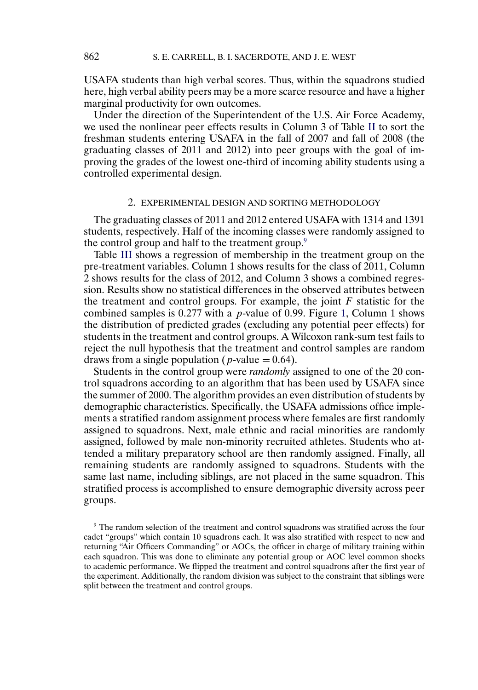USAFA students than high verbal scores. Thus, within the squadrons studied here, high verbal ability peers may be a more scarce resource and have a higher marginal productivity for own outcomes.

Under the direction of the Superintendent of the U.S. Air Force Academy, we used the nonlinear peer effects results in Column 3 of Table [II](#page-6-0) to sort the freshman students entering USAFA in the fall of 2007 and fall of 2008 (the graduating classes of 2011 and 2012) into peer groups with the goal of improving the grades of the lowest one-third of incoming ability students using a controlled experimental design.

#### 2. EXPERIMENTAL DESIGN AND SORTING METHODOLOGY

The graduating classes of 2011 and 2012 entered USAFA with 1314 and 1391 students, respectively. Half of the incoming classes were randomly assigned to the control group and half to the treatment group.<sup>9</sup>

Table [III](#page-8-0) shows a regression of membership in the treatment group on the pre-treatment variables. Column 1 shows results for the class of 2011, Column 2 shows results for the class of 2012, and Column 3 shows a combined regression. Results show no statistical differences in the observed attributes between the treatment and control groups. For example, the joint  $F$  statistic for the combined samples is  $0.277$  with a *p*-value of 0.99. Figure [1,](#page-9-0) Column 1 shows the distribution of predicted grades (excluding any potential peer effects) for students in the treatment and control groups. A Wilcoxon rank-sum test fails to reject the null hypothesis that the treatment and control samples are random draws from a single population ( $p$ -value = 0.64).

Students in the control group were *randomly* assigned to one of the 20 control squadrons according to an algorithm that has been used by USAFA since the summer of 2000. The algorithm provides an even distribution of students by demographic characteristics. Specifically, the USAFA admissions office implements a stratified random assignment process where females are first randomly assigned to squadrons. Next, male ethnic and racial minorities are randomly assigned, followed by male non-minority recruited athletes. Students who attended a military preparatory school are then randomly assigned. Finally, all remaining students are randomly assigned to squadrons. Students with the same last name, including siblings, are not placed in the same squadron. This stratified process is accomplished to ensure demographic diversity across peer groups.

<sup>9</sup> The random selection of the treatment and control squadrons was stratified across the four cadet "groups" which contain 10 squadrons each. It was also stratified with respect to new and returning "Air Officers Commanding" or AOCs, the officer in charge of military training within each squadron. This was done to eliminate any potential group or AOC level common shocks to academic performance. We flipped the treatment and control squadrons after the first year of the experiment. Additionally, the random division was subject to the constraint that siblings were split between the treatment and control groups.

<span id="page-7-0"></span>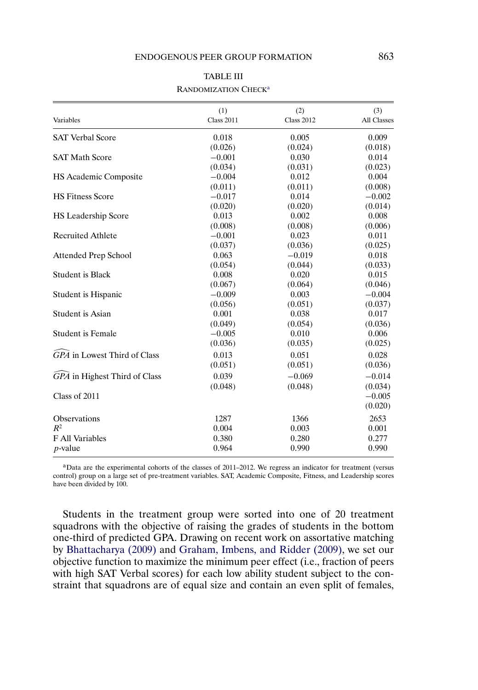<span id="page-8-0"></span>

| Variables                                | (1)<br><b>Class 2011</b> | (2)<br><b>Class 2012</b> | (3)<br>All Classes |
|------------------------------------------|--------------------------|--------------------------|--------------------|
|                                          |                          |                          |                    |
| <b>SAT Verbal Score</b>                  | 0.018                    | 0.005                    | 0.009              |
|                                          | (0.026)                  | (0.024)                  | (0.018)            |
| <b>SAT Math Score</b>                    | $-0.001$                 | 0.030                    | 0.014              |
|                                          | (0.034)                  | (0.031)                  | (0.023)            |
| HS Academic Composite                    | $-0.004$                 | 0.012                    | 0.004              |
|                                          | (0.011)                  | (0.011)                  | (0.008)            |
| <b>HS Fitness Score</b>                  | $-0.017$                 | 0.014                    | $-0.002$           |
|                                          | (0.020)                  | (0.020)                  | (0.014)            |
| HS Leadership Score                      | 0.013                    | 0.002                    | 0.008              |
|                                          | (0.008)                  | (0.008)                  | (0.006)            |
| <b>Recruited Athlete</b>                 | $-0.001$                 | 0.023                    | 0.011              |
|                                          | (0.037)                  | (0.036)                  | (0.025)            |
| Attended Prep School                     | 0.063                    | $-0.019$                 | 0.018              |
|                                          | (0.054)                  | (0.044)                  | (0.033)            |
| <b>Student is Black</b>                  | 0.008                    | 0.020                    | 0.015              |
|                                          | (0.067)                  | (0.064)                  | (0.046)            |
| Student is Hispanic                      | $-0.009$                 | 0.003                    | $-0.004$           |
|                                          | (0.056)                  | (0.051)                  | (0.037)            |
| Student is Asian                         | 0.001                    | 0.038                    | 0.017              |
|                                          | (0.049)                  | (0.054)                  | (0.036)            |
| <b>Student is Female</b>                 | $-0.005$                 | 0.010                    | 0.006              |
|                                          | (0.036)                  | (0.035)                  | (0.025)            |
| $\widehat{GPA}$ in Lowest Third of Class | 0.013                    | 0.051                    | 0.028              |
|                                          | (0.051)                  | (0.051)                  | (0.036)            |
| GPA in Highest Third of Class            | 0.039                    | $-0.069$                 | $-0.014$           |
|                                          | (0.048)                  | (0.048)                  | (0.034)            |
| Class of 2011                            |                          |                          | $-0.005$           |
|                                          |                          |                          | (0.020)            |
| Observations                             | 1287                     | 1366                     | 2653               |
| $R^2$                                    | 0.004                    | 0.003                    | 0.001              |
| <b>F</b> All Variables                   | 0.380                    | 0.280                    | 0.277              |
| $p$ -value                               | 0.964                    | 0.990                    | 0.990              |

#### TABLE III RANDOMIZATION CHECK<sup>a</sup>

aData are the experimental cohorts of the classes of 2011–2012. We regress an indicator for treatment (versus control) group on a large set of pre-treatment variables. SAT, Academic Composite, Fitness, and Leadership scores have been divided by 100.

Students in the treatment group were sorted into one of 20 treatment squadrons with the objective of raising the grades of students in the bottom one-third of predicted GPA. Drawing on recent work on assortative matching by [Bhattacharya \(2009\)](#page-26-0) and [Graham, Imbens, and Ridder \(2009\),](#page-26-0) we set our objective function to maximize the minimum peer effect (i.e., fraction of peers with high SAT Verbal scores) for each low ability student subject to the constraint that squadrons are of equal size and contain an even split of females,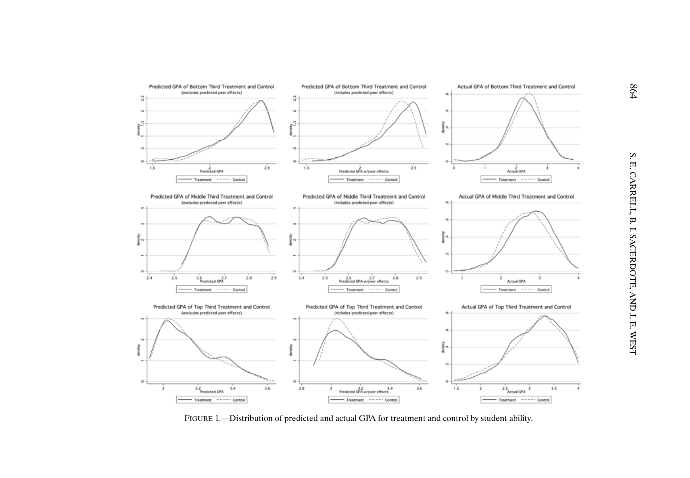<span id="page-9-0"></span>

FIGURE 1.—Distribution of predicted and actual GPA for treatment and control by student ability.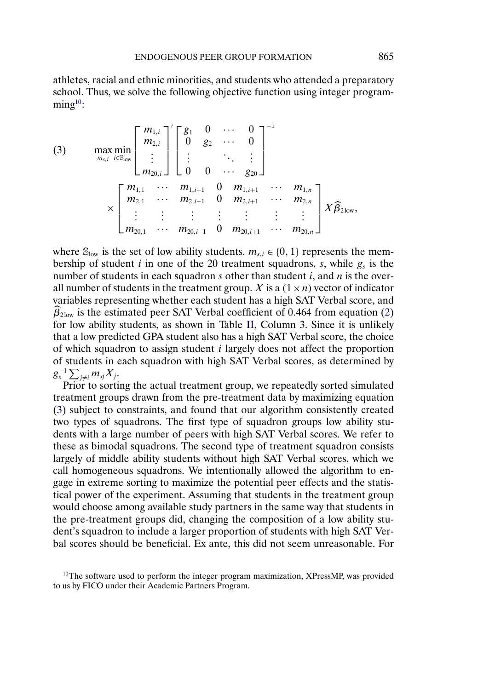athletes, racial and ethnic minorities, and students who attended a preparatory school. Thus, we solve the following objective function using integer program- $\text{ming}^{10}$ :

(3) 
$$
\max_{m_{s,i}} \min_{i \in S_{\text{low}}}\left[\begin{array}{c} m_{1,i} \\ m_{2,i} \\ \vdots \\ m_{20,i} \end{array}\right] \left[\begin{array}{cccc} g_1 & 0 & \cdots & 0 \\ 0 & g_2 & \cdots & 0 \\ \vdots & & \ddots & \vdots \\ 0 & 0 & \cdots & g_{20} \end{array}\right]^{-1}
$$

$$
\times \left[\begin{array}{cccc} m_{1,1} & \cdots & m_{1,i-1} & 0 & m_{1,i+1} & \cdots & m_{1,n} \\ m_{2,1} & \cdots & m_{2,i-1} & 0 & m_{2,i+1} & \cdots & m_{2,n} \\ \vdots & \vdots & \vdots & & \vdots & \vdots \\ m_{20,1} & \cdots & m_{20,i-1} & 0 & m_{20,i+1} & \cdots & m_{20,n} \end{array}\right] X \widehat{B}_{2\text{low}},
$$

where  $\mathbb{S}_{\text{low}}$  is the set of low ability students.  $m_{s,i} \in \{0, 1\}$  represents the membership of student *i* in one of the 20 treatment squadrons, *s*, while  $g_s$  is the number of students in each squadron s other than student  $i$ , and  $n$  is the overall number of students in the treatment group. X is a  $(1 \times n)$  vector of indicator variables representing whether each student has a high SAT Verbal score, and  $\beta_{2\text{low}}$  is the estimated peer SAT Verbal coefficient of 0.464 from equation [\(2\)](#page-4-0) for low ability students, as shown in Table [II,](#page-6-0) Column 3. Since it is unlikely that a low predicted GPA student also has a high SAT Verbal score, the choice of which squadron to assign student i largely does not affect the proportion of students in each squadron with high SAT Verbal scores, as determined by  $g_s^{-1} \sum_{j \neq i} m_{sj} X_j$ .

Prior to sorting the actual treatment group, we repeatedly sorted simulated treatment groups drawn from the pre-treatment data by maximizing equation (3) subject to constraints, and found that our algorithm consistently created two types of squadrons. The first type of squadron groups low ability students with a large number of peers with high SAT Verbal scores. We refer to these as bimodal squadrons. The second type of treatment squadron consists largely of middle ability students without high SAT Verbal scores, which we call homogeneous squadrons. We intentionally allowed the algorithm to engage in extreme sorting to maximize the potential peer effects and the statistical power of the experiment. Assuming that students in the treatment group would choose among available study partners in the same way that students in the pre-treatment groups did, changing the composition of a low ability student's squadron to include a larger proportion of students with high SAT Verbal scores should be beneficial. Ex ante, this did not seem unreasonable. For

 $10$ The software used to perform the integer program maximization, XPressMP, was provided to us by FICO under their Academic Partners Program.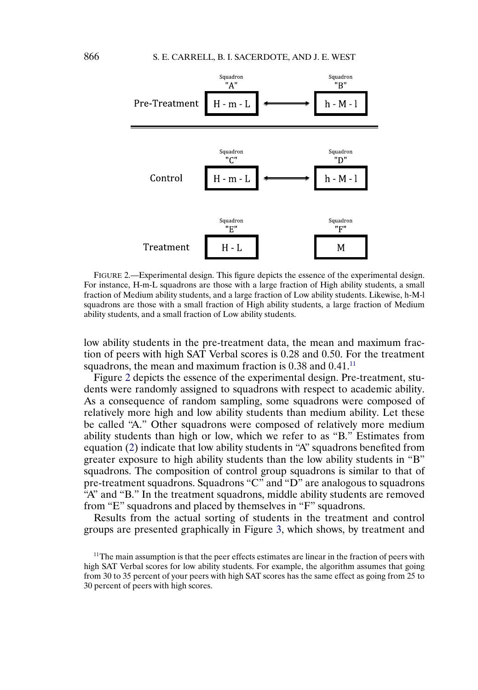

FIGURE 2.—Experimental design. This figure depicts the essence of the experimental design. For instance, H-m-L squadrons are those with a large fraction of High ability students, a small fraction of Medium ability students, and a large fraction of Low ability students. Likewise, h-M-l squadrons are those with a small fraction of High ability students, a large fraction of Medium ability students, and a small fraction of Low ability students.

low ability students in the pre-treatment data, the mean and maximum fraction of peers with high SAT Verbal scores is 0-28 and 0-50. For the treatment squadrons, the mean and maximum fraction is  $0.38$  and  $0.41$ .<sup>11</sup>

Figure 2 depicts the essence of the experimental design. Pre-treatment, students were randomly assigned to squadrons with respect to academic ability. As a consequence of random sampling, some squadrons were composed of relatively more high and low ability students than medium ability. Let these be called "A." Other squadrons were composed of relatively more medium ability students than high or low, which we refer to as "B." Estimates from equation [\(2\)](#page-4-0) indicate that low ability students in "A" squadrons benefited from greater exposure to high ability students than the low ability students in "B" squadrons. The composition of control group squadrons is similar to that of pre-treatment squadrons. Squadrons "C" and "D" are analogous to squadrons "A" and "B." In the treatment squadrons, middle ability students are removed from "E" squadrons and placed by themselves in "F" squadrons.

Results from the actual sorting of students in the treatment and control groups are presented graphically in Figure [3,](#page-12-0) which shows, by treatment and

 $11$ The main assumption is that the peer effects estimates are linear in the fraction of peers with high SAT Verbal scores for low ability students. For example, the algorithm assumes that going from 30 to 35 percent of your peers with high SAT scores has the same effect as going from 25 to 30 percent of peers with high scores.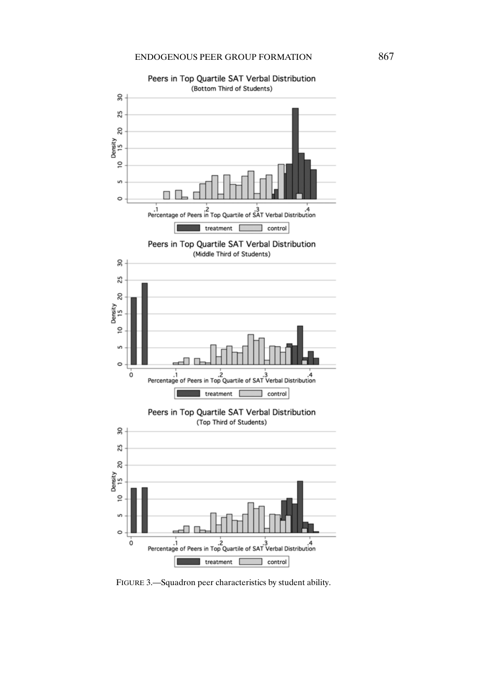<span id="page-12-0"></span>

Peers in Top Quartile SAT Verbal Distribution

FIGURE 3.—Squadron peer characteristics by student ability.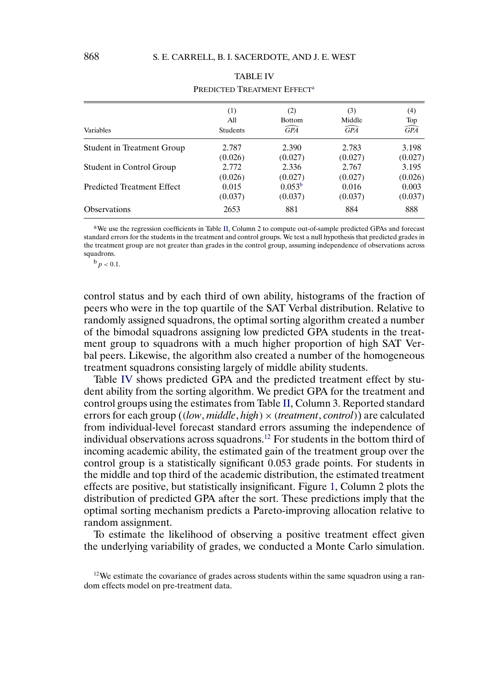<span id="page-13-0"></span>

| Variables                         | (1)      | (2)                | (3)             | (4)             |
|-----------------------------------|----------|--------------------|-----------------|-----------------|
|                                   | All      | <b>Bottom</b>      | Middle          | Top             |
|                                   | Students | $\widehat{GPA}$    | $\widehat{GPA}$ | $\widehat{GPA}$ |
| Student in Treatment Group        | 2.787    | 2.390              | 2.783           | 3.198           |
|                                   | (0.026)  | (0.027)            | (0.027)         | (0.027)         |
| Student in Control Group          | 2.772    | 2.336              | 2.767           | 3.195           |
|                                   | (0.026)  | (0.027)            | (0.027)         | (0.026)         |
| <b>Predicted Treatment Effect</b> | 0.015    | 0.053 <sup>b</sup> | 0.016           | 0.003           |
|                                   | (0.037)  | (0.037)            | (0.037)         | (0.037)         |
| <b>Observations</b>               | 2653     | 881                | 884             | 888             |

# TABLE IV PREDICTED TREATMENT EFFECT<sup>a</sup>

aWe use the regression coefficients in Table [II,](#page-6-0) Column 2 to compute out-of-sample predicted GPAs and forecast standard errors for the students in the treatment and control groups. We test a null hypothesis that predicted grades in the treatment group are not greater than grades in the control group, assuming independence of observations across squadrons.

 $^{b}p < 0.1$ .

control status and by each third of own ability, histograms of the fraction of peers who were in the top quartile of the SAT Verbal distribution. Relative to randomly assigned squadrons, the optimal sorting algorithm created a number of the bimodal squadrons assigning low predicted GPA students in the treatment group to squadrons with a much higher proportion of high SAT Verbal peers. Likewise, the algorithm also created a number of the homogeneous treatment squadrons consisting largely of middle ability students.

Table IV shows predicted GPA and the predicted treatment effect by student ability from the sorting algorithm. We predict GPA for the treatment and control groups using the estimates from Table [II,](#page-6-0) Column 3. Reported standard errors for each group ((*low middle high*)×(*treatment control*)) are calculated from individual-level forecast standard errors assuming the independence of individual observations across squadrons.12 For students in the bottom third of incoming academic ability, the estimated gain of the treatment group over the control group is a statistically significant 0-053 grade points. For students in the middle and top third of the academic distribution, the estimated treatment effects are positive, but statistically insignificant. Figure [1,](#page-9-0) Column 2 plots the distribution of predicted GPA after the sort. These predictions imply that the optimal sorting mechanism predicts a Pareto-improving allocation relative to random assignment.

To estimate the likelihood of observing a positive treatment effect given the underlying variability of grades, we conducted a Monte Carlo simulation.

 $12$  We estimate the covariance of grades across students within the same squadron using a random effects model on pre-treatment data.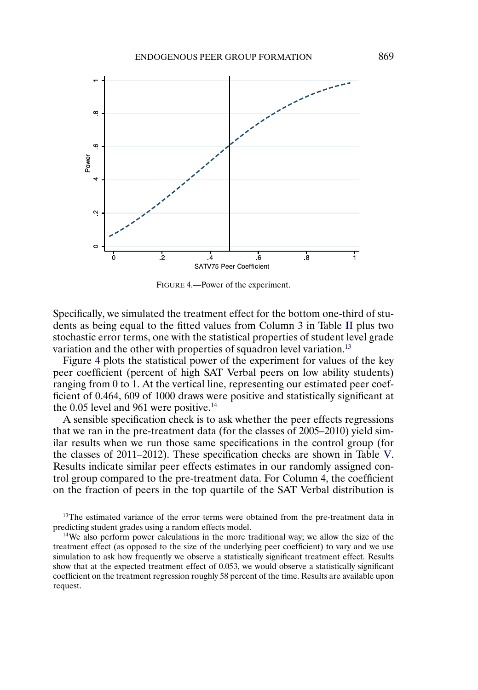

FIGURE 4.—Power of the experiment.

Specifically, we simulated the treatment effect for the bottom one-third of students as being equal to the fitted values from Column 3 in Table [II](#page-6-0) plus two stochastic error terms, one with the statistical properties of student level grade variation and the other with properties of squadron level variation.<sup>13</sup>

Figure 4 plots the statistical power of the experiment for values of the key peer coefficient (percent of high SAT Verbal peers on low ability students) ranging from 0 to 1. At the vertical line, representing our estimated peer coefficient of 0.464, 609 of 1000 draws were positive and statistically significant at the  $0.05$  level and  $961$  were positive.<sup>14</sup>

A sensible specification check is to ask whether the peer effects regressions that we ran in the pre-treatment data (for the classes of 2005–2010) yield similar results when we run those same specifications in the control group (for the classes of 2011–2012). These specification checks are shown in Table [V.](#page-15-0) Results indicate similar peer effects estimates in our randomly assigned control group compared to the pre-treatment data. For Column 4, the coefficient on the fraction of peers in the top quartile of the SAT Verbal distribution is

<sup>13</sup>The estimated variance of the error terms were obtained from the pre-treatment data in predicting student grades using a random effects model.

<sup>14</sup>We also perform power calculations in the more traditional way; we allow the size of the treatment effect (as opposed to the size of the underlying peer coefficient) to vary and we use simulation to ask how frequently we observe a statistically significant treatment effect. Results show that at the expected treatment effect of 0.053, we would observe a statistically significant coefficient on the treatment regression roughly 58 percent of the time. Results are available upon request.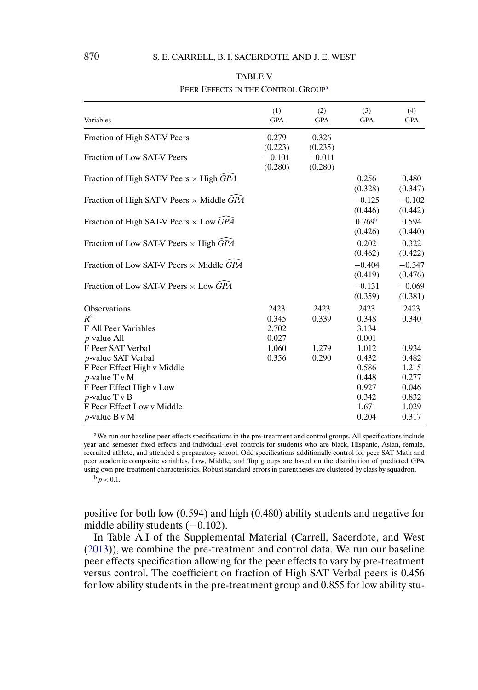<span id="page-15-0"></span>

| Variables                                                                                                                                                                                            | (1)<br><b>GPA</b>               | (2)<br><b>GPA</b>              | (3)<br><b>GPA</b>                                                    | (4)<br><b>GPA</b>                                                    |
|------------------------------------------------------------------------------------------------------------------------------------------------------------------------------------------------------|---------------------------------|--------------------------------|----------------------------------------------------------------------|----------------------------------------------------------------------|
| Fraction of High SAT-V Peers                                                                                                                                                                         | 0.279                           | 0.326                          |                                                                      |                                                                      |
| Fraction of Low SAT-V Peers                                                                                                                                                                          | (0.223)<br>$-0.101$<br>(0.280)  | (0.235)<br>$-0.011$<br>(0.280) |                                                                      |                                                                      |
| Fraction of High SAT-V Peers $\times$ High GPA                                                                                                                                                       |                                 |                                | 0.256<br>(0.328)                                                     | 0.480<br>(0.347)                                                     |
| Fraction of High SAT-V Peers $\times$ Middle GPA                                                                                                                                                     |                                 |                                | $-0.125$<br>(0.446)                                                  | $-0.102$<br>(0.442)                                                  |
| Fraction of High SAT-V Peers $\times$ Low GPA                                                                                                                                                        |                                 |                                | 0.769 <sup>b</sup><br>(0.426)                                        | 0.594<br>(0.440)                                                     |
| Fraction of Low SAT-V Peers $\times$ High GPA                                                                                                                                                        |                                 |                                | 0.202<br>(0.462)                                                     | 0.322<br>(0.422)                                                     |
| Fraction of Low SAT-V Peers $\times$ Middle GPA                                                                                                                                                      |                                 |                                | $-0.404$<br>(0.419)                                                  | $-0.347$<br>(0.476)                                                  |
| Fraction of Low SAT-V Peers $\times$ Low GPA                                                                                                                                                         |                                 |                                | $-0.131$<br>(0.359)                                                  | $-0.069$<br>(0.381)                                                  |
| <b>Observations</b><br>$R^2$<br>F All Peer Variables<br><i>p</i> -value All                                                                                                                          | 2423<br>0.345<br>2.702<br>0.027 | 2423<br>0.339                  | 2423<br>0.348<br>3.134<br>0.001                                      | 2423<br>0.340                                                        |
| F Peer SAT Verbal<br><i>p</i> -value SAT Verbal<br>F Peer Effect High v Middle<br>$p$ -value T v M<br>F Peer Effect High v Low<br>$p$ -value T v B<br>F Peer Effect Low v Middle<br>$p$ -value B v M | 1.060<br>0.356                  | 1.279<br>0.290                 | 1.012<br>0.432<br>0.586<br>0.448<br>0.927<br>0.342<br>1.671<br>0.204 | 0.934<br>0.482<br>1.215<br>0.277<br>0.046<br>0.832<br>1.029<br>0.317 |

# TABLE V PEER EFFECTS IN THE CONTROL GROUP<sup>a</sup>

aWe run our baseline peer effects specifications in the pre-treatment and control groups. All specifications include year and semester fixed effects and individual-level controls for students who are black, Hispanic, Asian, female, recruited athlete, and attended a preparatory school. Odd specifications additionally control for peer SAT Math and peer academic composite variables. Low, Middle, and Top groups are based on the distribution of predicted GPA using own pre-treatment characteristics. Robust standard errors in parentheses are clustered by class by squadron.

 $^{b}p < 0.1$ .

positive for both low (0-594) and high (0-480) ability students and negative for middle ability students (-0.102).

In Table A.I of the Supplemental Material (Carrell, Sacerdote, and West [\(2013\)](#page-26-0)), we combine the pre-treatment and control data. We run our baseline peer effects specification allowing for the peer effects to vary by pre-treatment versus control. The coefficient on fraction of High SAT Verbal peers is 0-456 for low ability students in the pre-treatment group and 0-855 for low ability stu-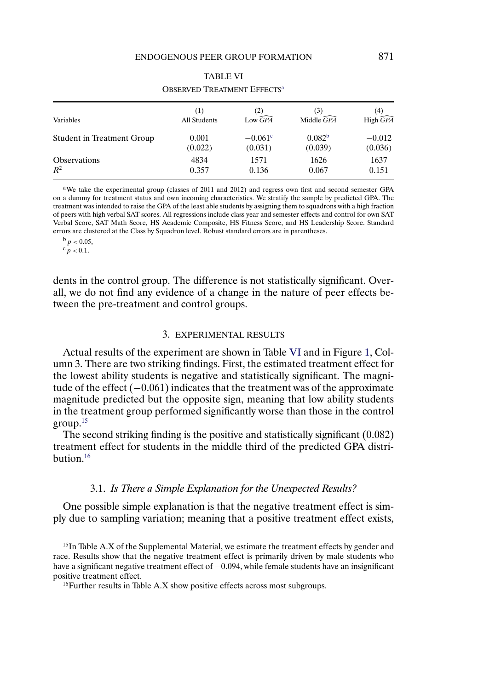<span id="page-16-0"></span>

| Variables                  | (1)<br>All Students | $Low \widehat{GPA}$   | (3)<br>Middle $\widehat{GPA}$ | (4)<br>High $\widehat{GPA}$ |
|----------------------------|---------------------|-----------------------|-------------------------------|-----------------------------|
| Student in Treatment Group | 0.001               | $-0.061$ <sup>c</sup> | 0.082 <sup>b</sup>            | $-0.012$                    |
|                            | (0.022)             | (0.031)               | (0.039)                       | (0.036)                     |
| <b>Observations</b>        | 4834                | 1571                  | 1626                          | 1637                        |
| $R^2$                      | 0.357               | 0.136                 | 0.067                         | 0.151                       |

#### TABLE VI OBSERVED TREATMENT EFFECTS<sup>a</sup>

aWe take the experimental group (classes of 2011 and 2012) and regress own first and second semester GPA on a dummy for treatment status and own incoming characteristics. We stratify the sample by predicted GPA. The treatment was intended to raise the GPA of the least able students by assigning them to squadrons with a high fraction of peers with high verbal SAT scores. All regressions include class year and semester effects and control for own SAT Verbal Score, SAT Math Score, HS Academic Composite, HS Fitness Score, and HS Leadership Score. Standard errors are clustered at the Class by Squadron level. Robust standard errors are in parentheses.

 $b_p < 0.05$ ,

 $c_p < 0.1$ .

dents in the control group. The difference is not statistically significant. Overall, we do not find any evidence of a change in the nature of peer effects between the pre-treatment and control groups.

## 3. EXPERIMENTAL RESULTS

Actual results of the experiment are shown in Table VI and in Figure [1,](#page-9-0) Column 3. There are two striking findings. First, the estimated treatment effect for the lowest ability students is negative and statistically significant. The magnitude of the effect (−0-061) indicates that the treatment was of the approximate magnitude predicted but the opposite sign, meaning that low ability students in the treatment group performed significantly worse than those in the control group.15

The second striking finding is the positive and statistically significant (0-082) treatment effect for students in the middle third of the predicted GPA distribution.16

#### 3.1. *Is There a Simple Explanation for the Unexpected Results?*

One possible simple explanation is that the negative treatment effect is simply due to sampling variation; meaning that a positive treatment effect exists,

 $15$ In Table A.X of the Supplemental Material, we estimate the treatment effects by gender and race. Results show that the negative treatment effect is primarily driven by male students who have a significant negative treatment effect of −0-094, while female students have an insignificant positive treatment effect.

<sup>16</sup>Further results in Table A.X show positive effects across most subgroups.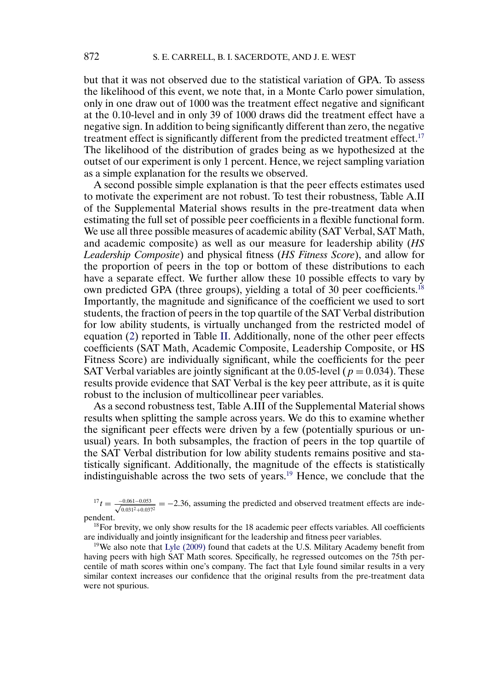<span id="page-17-0"></span>but that it was not observed due to the statistical variation of GPA. To assess the likelihood of this event, we note that, in a Monte Carlo power simulation, only in one draw out of 1000 was the treatment effect negative and significant at the 0.10-level and in only 39 of 1000 draws did the treatment effect have a negative sign. In addition to being significantly different than zero, the negative treatment effect is significantly different from the predicted treatment effect.<sup>17</sup> The likelihood of the distribution of grades being as we hypothesized at the outset of our experiment is only 1 percent. Hence, we reject sampling variation as a simple explanation for the results we observed.

A second possible simple explanation is that the peer effects estimates used to motivate the experiment are not robust. To test their robustness, Table A.II of the Supplemental Material shows results in the pre-treatment data when estimating the full set of possible peer coefficients in a flexible functional form. We use all three possible measures of academic ability (SAT Verbal, SAT Math, and academic composite) as well as our measure for leadership ability (*HS Leadership Composite*) and physical fitness (*HS Fitness Score*), and allow for the proportion of peers in the top or bottom of these distributions to each have a separate effect. We further allow these 10 possible effects to vary by own predicted GPA (three groups), yielding a total of 30 peer coefficients.<sup>18</sup> Importantly, the magnitude and significance of the coefficient we used to sort students, the fraction of peers in the top quartile of the SAT Verbal distribution for low ability students, is virtually unchanged from the restricted model of equation [\(2\)](#page-4-0) reported in Table [II.](#page-6-0) Additionally, none of the other peer effects coefficients (SAT Math, Academic Composite, Leadership Composite, or HS Fitness Score) are individually significant, while the coefficients for the peer SAT Verbal variables are jointly significant at the 0.05-level ( $p = 0.034$ ). These results provide evidence that SAT Verbal is the key peer attribute, as it is quite robust to the inclusion of multicollinear peer variables.

As a second robustness test, Table A.III of the Supplemental Material shows results when splitting the sample across years. We do this to examine whether the significant peer effects were driven by a few (potentially spurious or unusual) years. In both subsamples, the fraction of peers in the top quartile of the SAT Verbal distribution for low ability students remains positive and statistically significant. Additionally, the magnitude of the effects is statistically indistinguishable across the two sets of years.19 Hence, we conclude that the

 $^{17}t = \frac{-0.061 - 0.053}{\sqrt{0.0025}}$  $\frac{0.061-0.053}{0.031^2+0.037^2} = -2.36$ , assuming the predicted and observed treatment effects are independent.

<sup>18</sup>For brevity, we only show results for the 18 academic peer effects variables. All coefficients are individually and jointly insignificant for the leadership and fitness peer variables.

<sup>19</sup>We also note that Lyle  $(2009)$  found that cadets at the U.S. Military Academy benefit from having peers with high SAT Math scores. Specifically, he regressed outcomes on the 75th percentile of math scores within one's company. The fact that Lyle found similar results in a very similar context increases our confidence that the original results from the pre-treatment data were not spurious.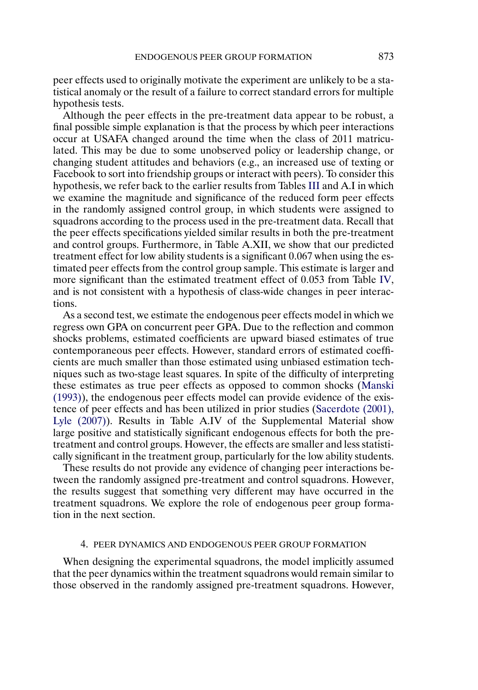<span id="page-18-0"></span>peer effects used to originally motivate the experiment are unlikely to be a statistical anomaly or the result of a failure to correct standard errors for multiple hypothesis tests.

Although the peer effects in the pre-treatment data appear to be robust, a final possible simple explanation is that the process by which peer interactions occur at USAFA changed around the time when the class of 2011 matriculated. This may be due to some unobserved policy or leadership change, or changing student attitudes and behaviors (e.g., an increased use of texting or Facebook to sort into friendship groups or interact with peers). To consider this hypothesis, we refer back to the earlier results from Tables [III](#page-8-0) and A.I in which we examine the magnitude and significance of the reduced form peer effects in the randomly assigned control group, in which students were assigned to squadrons according to the process used in the pre-treatment data. Recall that the peer effects specifications yielded similar results in both the pre-treatment and control groups. Furthermore, in Table A.XII, we show that our predicted treatment effect for low ability students is a significant 0.067 when using the estimated peer effects from the control group sample. This estimate is larger and more significant than the estimated treatment effect of 0-053 from Table [IV,](#page-13-0) and is not consistent with a hypothesis of class-wide changes in peer interactions.

As a second test, we estimate the endogenous peer effects model in which we regress own GPA on concurrent peer GPA. Due to the reflection and common shocks problems, estimated coefficients are upward biased estimates of true contemporaneous peer effects. However, standard errors of estimated coefficients are much smaller than those estimated using unbiased estimation techniques such as two-stage least squares. In spite of the difficulty of interpreting these estimates as true peer effects as opposed to common shocks [\(Manski](#page-27-0) [\(1993\)\)](#page-27-0), the endogenous peer effects model can provide evidence of the existence of peer effects and has been utilized in prior studies [\(Sacerdote \(2001\),](#page-27-0) [Lyle \(2007\)\)](#page-27-0). Results in Table A.IV of the Supplemental Material show large positive and statistically significant endogenous effects for both the pretreatment and control groups. However, the effects are smaller and less statistically significant in the treatment group, particularly for the low ability students.

These results do not provide any evidence of changing peer interactions between the randomly assigned pre-treatment and control squadrons. However, the results suggest that something very different may have occurred in the treatment squadrons. We explore the role of endogenous peer group formation in the next section.

#### 4. PEER DYNAMICS AND ENDOGENOUS PEER GROUP FORMATION

When designing the experimental squadrons, the model implicitly assumed that the peer dynamics within the treatment squadrons would remain similar to those observed in the randomly assigned pre-treatment squadrons. However,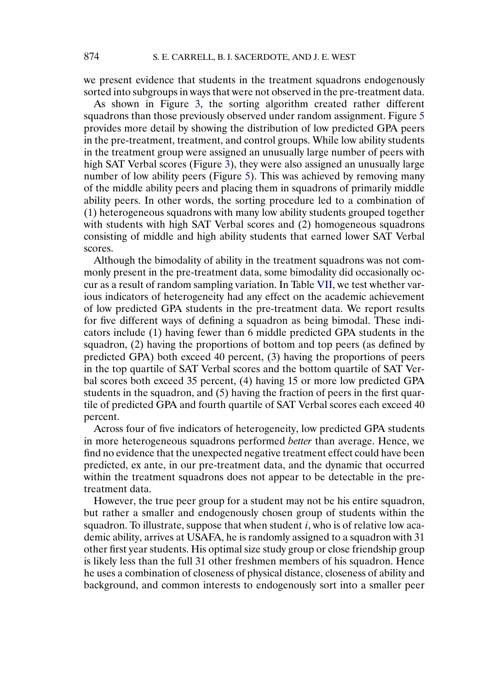we present evidence that students in the treatment squadrons endogenously sorted into subgroups in ways that were not observed in the pre-treatment data.

As shown in Figure [3,](#page-12-0) the sorting algorithm created rather different squadrons than those previously observed under random assignment. Figure [5](#page-20-0) provides more detail by showing the distribution of low predicted GPA peers in the pre-treatment, treatment, and control groups. While low ability students in the treatment group were assigned an unusually large number of peers with high SAT Verbal scores (Figure [3\)](#page-12-0), they were also assigned an unusually large number of low ability peers (Figure [5\)](#page-20-0). This was achieved by removing many of the middle ability peers and placing them in squadrons of primarily middle ability peers. In other words, the sorting procedure led to a combination of (1) heterogeneous squadrons with many low ability students grouped together with students with high SAT Verbal scores and (2) homogeneous squadrons consisting of middle and high ability students that earned lower SAT Verbal scores.

Although the bimodality of ability in the treatment squadrons was not commonly present in the pre-treatment data, some bimodality did occasionally occur as a result of random sampling variation. In Table [VII,](#page-21-0) we test whether various indicators of heterogeneity had any effect on the academic achievement of low predicted GPA students in the pre-treatment data. We report results for five different ways of defining a squadron as being bimodal. These indicators include (1) having fewer than 6 middle predicted GPA students in the squadron, (2) having the proportions of bottom and top peers (as defined by predicted GPA) both exceed 40 percent, (3) having the proportions of peers in the top quartile of SAT Verbal scores and the bottom quartile of SAT Verbal scores both exceed 35 percent, (4) having 15 or more low predicted GPA students in the squadron, and (5) having the fraction of peers in the first quartile of predicted GPA and fourth quartile of SAT Verbal scores each exceed 40 percent.

Across four of five indicators of heterogeneity, low predicted GPA students in more heterogeneous squadrons performed *better* than average. Hence, we find no evidence that the unexpected negative treatment effect could have been predicted, ex ante, in our pre-treatment data, and the dynamic that occurred within the treatment squadrons does not appear to be detectable in the pretreatment data.

However, the true peer group for a student may not be his entire squadron, but rather a smaller and endogenously chosen group of students within the squadron. To illustrate, suppose that when student  $i$ , who is of relative low academic ability, arrives at USAFA, he is randomly assigned to a squadron with 31 other first year students. His optimal size study group or close friendship group is likely less than the full 31 other freshmen members of his squadron. Hence he uses a combination of closeness of physical distance, closeness of ability and background, and common interests to endogenously sort into a smaller peer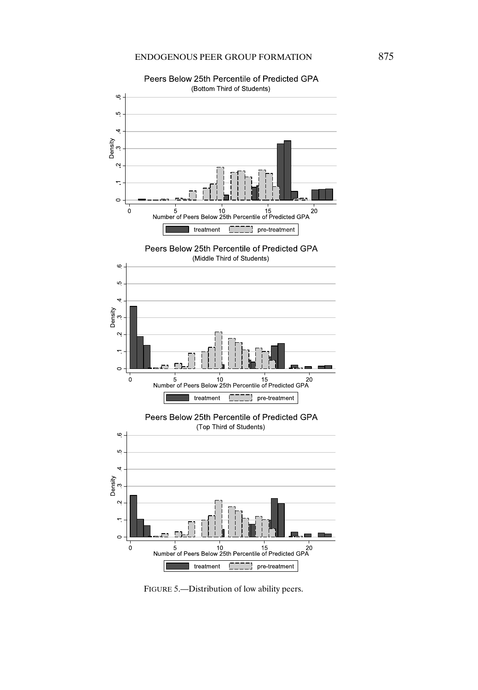<span id="page-20-0"></span>

Peers Below 25th Percentile of Predicted GPA

FIGURE 5.—Distribution of low ability peers.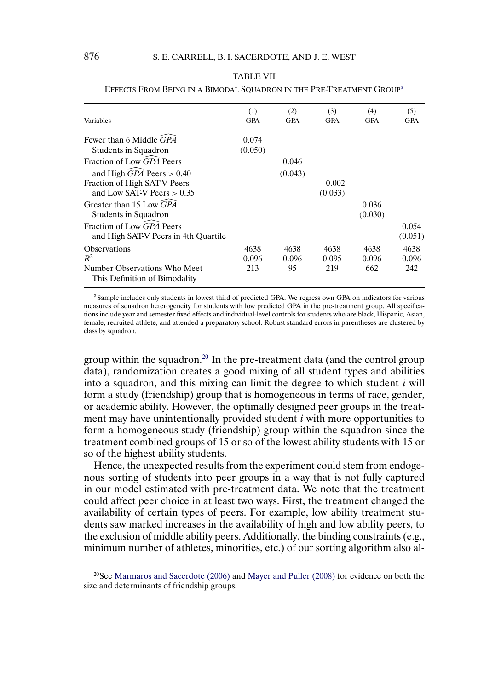#### <span id="page-21-0"></span>(1) (2) (3) (4) (5) Variables GPA GPA GPA GPA GPA Fewer than 6 Middle *GPA* - 0-0.074 Students in Squadron  $(0.050)$ Fraction of Low  $\widehat{GPA}$  Peers 0. 0.046 and High  $\widehat{GPA}$  Peers  $> 0$ . 40 (0- $(0.043)$ Fraction of High SAT-V Peers  $-0.002$ and Low SAT-V Peers  $> 0.35$  $35$  (0.  $(0.033)$ Greater than 15 Low GPA  $GPA$  0. 0.036 Students in Squadron  $(0.030)$ Fraction of Low  $\widehat{GPA}$  Peers 0. 0.054 and High SAT-V Peers in 4th Quartile  $(0.051)$ Observations 4638 4638 4638 4638 4638  $R^2$  0. 0.096 0.096 0.095 0.096 0.096 Number Observations Who Meet 213 95 219 662 242 This Definition of Bimodality

#### TABLE VII

EFFECTS FROM BEING IN A BIMODAL SQUADRON IN THE PRE-TREATMENT GROUP<sup>a</sup>

aSample includes only students in lowest third of predicted GPA. We regress own GPA on indicators for various measures of squadron heterogeneity for students with low predicted GPA in the pre-treatment group. All specifications include year and semester fixed effects and individual-level controls for students who are black, Hispanic, Asian, female, recruited athlete, and attended a preparatory school. Robust standard errors in parentheses are clustered by class by squadron.

group within the squadron.20 In the pre-treatment data (and the control group data), randomization creates a good mixing of all student types and abilities into a squadron, and this mixing can limit the degree to which student  $i$  will form a study (friendship) group that is homogeneous in terms of race, gender, or academic ability. However, the optimally designed peer groups in the treatment may have unintentionally provided student  $i$  with more opportunities to form a homogeneous study (friendship) group within the squadron since the treatment combined groups of 15 or so of the lowest ability students with 15 or so of the highest ability students.

Hence, the unexpected results from the experiment could stem from endogenous sorting of students into peer groups in a way that is not fully captured in our model estimated with pre-treatment data. We note that the treatment could affect peer choice in at least two ways. First, the treatment changed the availability of certain types of peers. For example, low ability treatment students saw marked increases in the availability of high and low ability peers, to the exclusion of middle ability peers. Additionally, the binding constraints (e.g., minimum number of athletes, minorities, etc.) of our sorting algorithm also al-

<sup>20</sup>See [Marmaros and Sacerdote \(2006\)](#page-27-0) and [Mayer and Puller \(2008\)](#page-27-0) for evidence on both the size and determinants of friendship groups.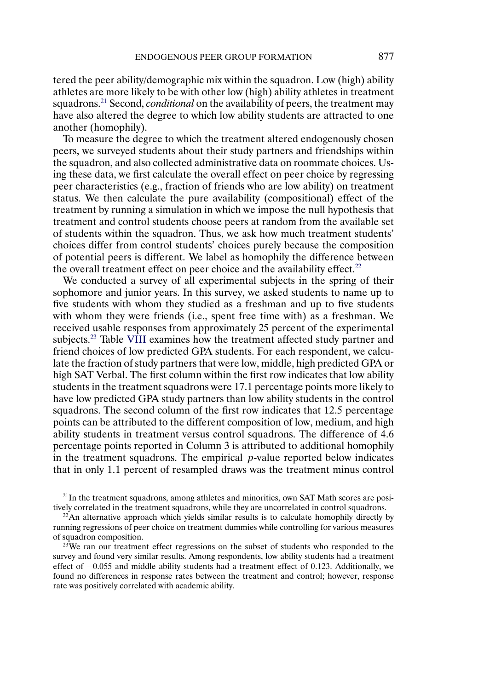tered the peer ability/demographic mix within the squadron. Low (high) ability athletes are more likely to be with other low (high) ability athletes in treatment squadrons.21 Second, *conditional* on the availability of peers, the treatment may have also altered the degree to which low ability students are attracted to one another (homophily).

To measure the degree to which the treatment altered endogenously chosen peers, we surveyed students about their study partners and friendships within the squadron, and also collected administrative data on roommate choices. Using these data, we first calculate the overall effect on peer choice by regressing peer characteristics (e.g., fraction of friends who are low ability) on treatment status. We then calculate the pure availability (compositional) effect of the treatment by running a simulation in which we impose the null hypothesis that treatment and control students choose peers at random from the available set of students within the squadron. Thus, we ask how much treatment students' choices differ from control students' choices purely because the composition of potential peers is different. We label as homophily the difference between the overall treatment effect on peer choice and the availability effect. $22$ 

We conducted a survey of all experimental subjects in the spring of their sophomore and junior years. In this survey, we asked students to name up to five students with whom they studied as a freshman and up to five students with whom they were friends (i.e., spent free time with) as a freshman. We received usable responses from approximately 25 percent of the experimental subjects.<sup>23</sup> Table [VIII](#page-23-0) examines how the treatment affected study partner and friend choices of low predicted GPA students. For each respondent, we calculate the fraction of study partners that were low, middle, high predicted GPA or high SAT Verbal. The first column within the first row indicates that low ability students in the treatment squadrons were 17-1 percentage points more likely to have low predicted GPA study partners than low ability students in the control squadrons. The second column of the first row indicates that 12-5 percentage points can be attributed to the different composition of low, medium, and high ability students in treatment versus control squadrons. The difference of 4-6 percentage points reported in Column 3 is attributed to additional homophily in the treatment squadrons. The empirical  $p$ -value reported below indicates that in only 1-1 percent of resampled draws was the treatment minus control

<sup>21</sup>In the treatment squadrons, among athletes and minorities, own SAT Math scores are positively correlated in the treatment squadrons, while they are uncorrelated in control squadrons.

 $^{23}$ We ran our treatment effect regressions on the subset of students who responded to the survey and found very similar results. Among respondents, low ability students had a treatment effect of  $-0.055$  and middle ability students had a treatment effect of 0.123. Additionally, we found no differences in response rates between the treatment and control; however, response rate was positively correlated with academic ability.

 $22$ An alternative approach which yields similar results is to calculate homophily directly by running regressions of peer choice on treatment dummies while controlling for various measures of squadron composition.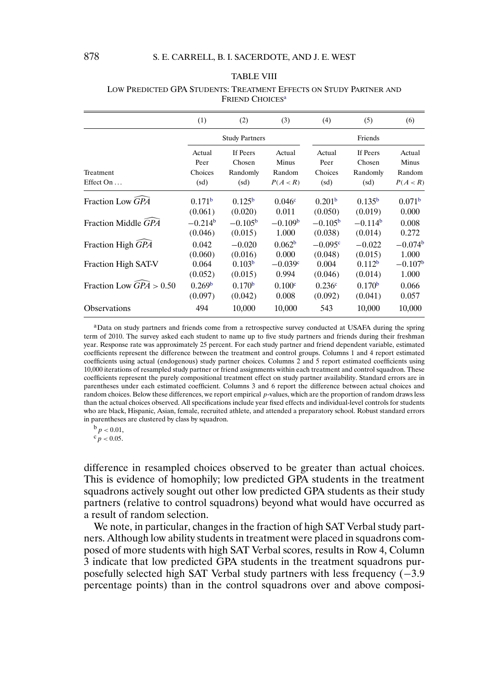#### TABLE VIII

|                                     | (1)                | (2)                   | (3)                | (4)                | (5)                | (6)                |
|-------------------------------------|--------------------|-----------------------|--------------------|--------------------|--------------------|--------------------|
|                                     |                    | <b>Study Partners</b> |                    |                    | Friends            |                    |
|                                     | Actual             | If Peers              | Actual             | Actual             | If Peers           | Actual             |
|                                     | Peer               | Chosen                | Minus              | Peer               | Chosen             | Minus              |
| Treatment                           | Choices            | Randomly              | Random             | Choices            | Randomly           | Random             |
| Effect On                           | (sd)               | (sd)                  | P(A < R)           | (sd)               | (sd)               | P(A < R)           |
| Fraction Low GPA                    | 0.171 <sup>b</sup> | 0.125 <sup>b</sup>    | 0.046c             | 0.201 <sup>b</sup> | 0.135 <sup>b</sup> | 0.071 <sup>b</sup> |
|                                     | (0.061)            | (0.020)               | 0.011              | (0.050)            | (0.019)            | 0.000              |
| Fraction Middle GPA                 | $-0.214^b$         | $-0.105b$             | $-0.109b$          | $-0.105^{\rm b}$   | $-0.114b$          | 0.008              |
|                                     | (0.046)            | (0.015)               | 1.000              | (0.038)            | (0.014)            | 0.272              |
| Fraction High GPA                   | 0.042              | $-0.020$              | 0.062 <sup>b</sup> | $-0.095c$          | $-0.022$           | $-0.074b$          |
|                                     | (0.060)            | (0.016)               | 0.000              | (0.048)            | (0.015)            | 1.000              |
| Fraction High SAT-V                 | 0.064              | 0.103 <sup>b</sup>    | $-0.039c$          | 0.004              | 0.112 <sup>b</sup> | $-0.107b$          |
|                                     | (0.052)            | (0.015)               | 0.994              | (0.046)            | (0.014)            | 1.000              |
| Fraction Low $\widehat{GPA} > 0.50$ | 0.269 <sup>b</sup> | 0.170 <sup>b</sup>    | 0.100 <sup>c</sup> | 0.236 <sup>c</sup> | 0.170 <sup>b</sup> | 0.066              |
|                                     | (0.097)            | (0.042)               | 0.008              | (0.092)            | (0.041)            | 0.057              |
| <b>Observations</b>                 | 494                | 10,000                | 10,000             | 543                | 10,000             | 10,000             |

#### <span id="page-23-0"></span>LOW PREDICTED GPA STUDENTS: TREATMENT EFFECTS ON STUDY PARTNER AND FRIEND CHOICES<sup>a</sup>

<sup>a</sup>Data on study partners and friends come from a retrospective survey conducted at USAFA during the spring term of 2010. The survey asked each student to name up to five study partners and friends during their freshman year. Response rate was approximately 25 percent. For each study partner and friend dependent variable, estimated coefficients represent the difference between the treatment and control groups. Columns 1 and 4 report estimated coefficients using actual (endogenous) study partner choices. Columns 2 and 5 report estimated coefficients using 10,000 iterations of resampled study partner or friend assignments within each treatment and control squadron. These coefficients represent the purely compositional treatment effect on study partner availability. Standard errors are in parentheses under each estimated coefficient. Columns 3 and 6 report the difference between actual choices and random choices. Below these differences, we report empirical p-values, which are the proportion of random draws less than the actual choices observed. All specifications include year fixed effects and individual-level controls for students who are black, Hispanic, Asian, female, recruited athlete, and attended a preparatory school. Robust standard errors in parentheses are clustered by class by squadron.

 $b_p < 0.01$ ,

 $c_p < 0.05$ .

difference in resampled choices observed to be greater than actual choices. This is evidence of homophily; low predicted GPA students in the treatment squadrons actively sought out other low predicted GPA students as their study partners (relative to control squadrons) beyond what would have occurred as a result of random selection.

We note, in particular, changes in the fraction of high SAT Verbal study partners. Although low ability students in treatment were placed in squadrons composed of more students with high SAT Verbal scores, results in Row 4, Column 3 indicate that low predicted GPA students in the treatment squadrons purposefully selected high SAT Verbal study partners with less frequency (−3-9 percentage points) than in the control squadrons over and above composi-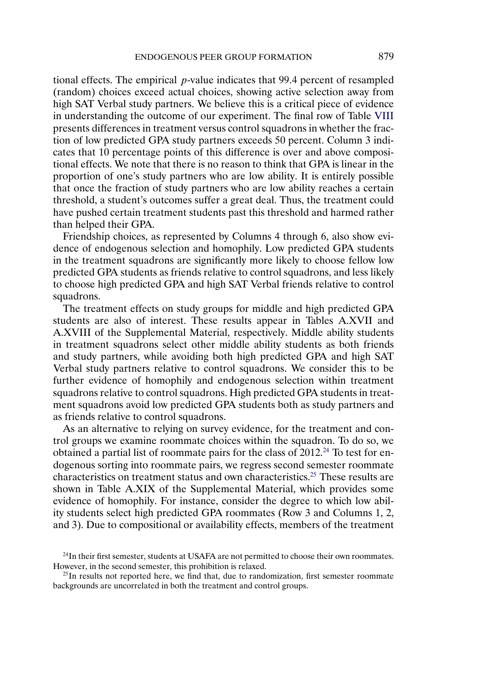tional effects. The empirical p-value indicates that 99-4 percent of resampled (random) choices exceed actual choices, showing active selection away from high SAT Verbal study partners. We believe this is a critical piece of evidence in understanding the outcome of our experiment. The final row of Table [VIII](#page-23-0) presents differences in treatment versus control squadrons in whether the fraction of low predicted GPA study partners exceeds 50 percent. Column 3 indicates that 10 percentage points of this difference is over and above compositional effects. We note that there is no reason to think that GPA is linear in the proportion of one's study partners who are low ability. It is entirely possible that once the fraction of study partners who are low ability reaches a certain threshold, a student's outcomes suffer a great deal. Thus, the treatment could have pushed certain treatment students past this threshold and harmed rather than helped their GPA.

Friendship choices, as represented by Columns 4 through 6, also show evidence of endogenous selection and homophily. Low predicted GPA students in the treatment squadrons are significantly more likely to choose fellow low predicted GPA students as friends relative to control squadrons, and less likely to choose high predicted GPA and high SAT Verbal friends relative to control squadrons.

The treatment effects on study groups for middle and high predicted GPA students are also of interest. These results appear in Tables A.XVII and A.XVIII of the Supplemental Material, respectively. Middle ability students in treatment squadrons select other middle ability students as both friends and study partners, while avoiding both high predicted GPA and high SAT Verbal study partners relative to control squadrons. We consider this to be further evidence of homophily and endogenous selection within treatment squadrons relative to control squadrons. High predicted GPA students in treatment squadrons avoid low predicted GPA students both as study partners and as friends relative to control squadrons.

As an alternative to relying on survey evidence, for the treatment and control groups we examine roommate choices within the squadron. To do so, we obtained a partial list of roommate pairs for the class of  $2012<sup>24</sup>$  To test for endogenous sorting into roommate pairs, we regress second semester roommate characteristics on treatment status and own characteristics.25 These results are shown in Table A.XIX of the Supplemental Material, which provides some evidence of homophily. For instance, consider the degree to which low ability students select high predicted GPA roommates (Row 3 and Columns 1, 2, and 3). Due to compositional or availability effects, members of the treatment

<sup>&</sup>lt;sup>24</sup>In their first semester, students at USAFA are not permitted to choose their own roommates. However, in the second semester, this prohibition is relaxed.

 $^{25}$ In results not reported here, we find that, due to randomization, first semester roommate backgrounds are uncorrelated in both the treatment and control groups.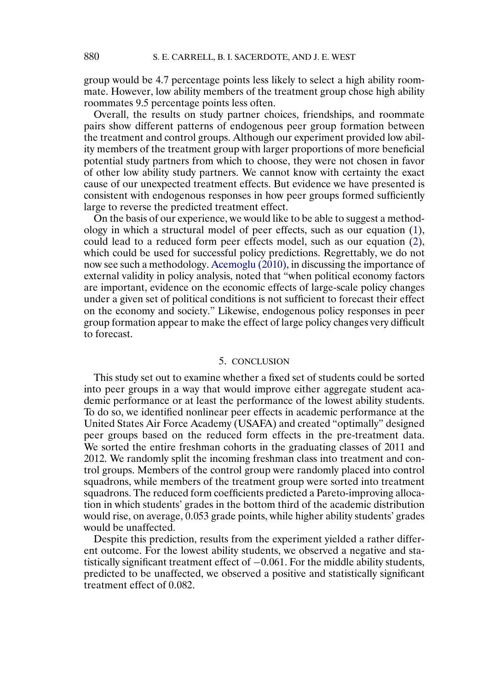<span id="page-25-0"></span>group would be 4.7 percentage points less likely to select a high ability roommate. However, low ability members of the treatment group chose high ability roommates 9.5 percentage points less often.

Overall, the results on study partner choices, friendships, and roommate pairs show different patterns of endogenous peer group formation between the treatment and control groups. Although our experiment provided low ability members of the treatment group with larger proportions of more beneficial potential study partners from which to choose, they were not chosen in favor of other low ability study partners. We cannot know with certainty the exact cause of our unexpected treatment effects. But evidence we have presented is consistent with endogenous responses in how peer groups formed sufficiently large to reverse the predicted treatment effect.

On the basis of our experience, we would like to be able to suggest a methodology in which a structural model of peer effects, such as our equation [\(1\)](#page-4-0), could lead to a reduced form peer effects model, such as our equation [\(2\)](#page-4-0), which could be used for successful policy predictions. Regrettably, we do not now see such a methodology. [Acemoglu \(2010\),](#page-26-0) in discussing the importance of external validity in policy analysis, noted that "when political economy factors are important, evidence on the economic effects of large-scale policy changes under a given set of political conditions is not sufficient to forecast their effect on the economy and society." Likewise, endogenous policy responses in peer group formation appear to make the effect of large policy changes very difficult to forecast.

#### 5. CONCLUSION

This study set out to examine whether a fixed set of students could be sorted into peer groups in a way that would improve either aggregate student academic performance or at least the performance of the lowest ability students. To do so, we identified nonlinear peer effects in academic performance at the United States Air Force Academy (USAFA) and created "optimally" designed peer groups based on the reduced form effects in the pre-treatment data. We sorted the entire freshman cohorts in the graduating classes of 2011 and 2012. We randomly split the incoming freshman class into treatment and control groups. Members of the control group were randomly placed into control squadrons, while members of the treatment group were sorted into treatment squadrons. The reduced form coefficients predicted a Pareto-improving allocation in which students' grades in the bottom third of the academic distribution would rise, on average, 0-053 grade points, while higher ability students' grades would be unaffected.

Despite this prediction, results from the experiment yielded a rather different outcome. For the lowest ability students, we observed a negative and statistically significant treatment effect of −0-061. For the middle ability students, predicted to be unaffected, we observed a positive and statistically significant treatment effect of 0.082.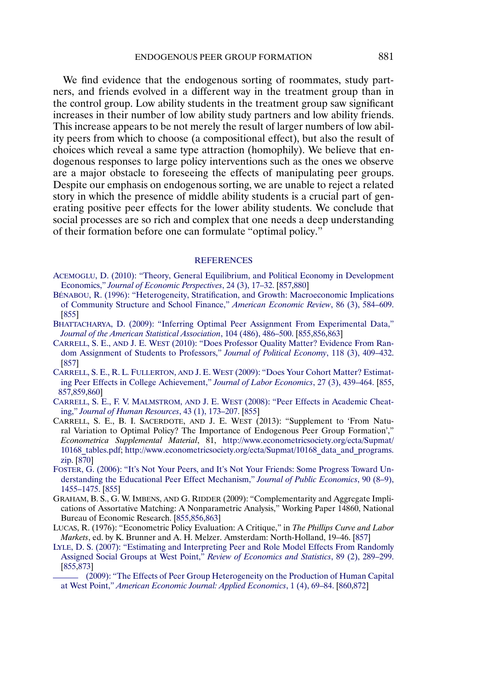<span id="page-26-0"></span>We find evidence that the endogenous sorting of roommates, study partners, and friends evolved in a different way in the treatment group than in the control group. Low ability students in the treatment group saw significant increases in their number of low ability study partners and low ability friends. This increase appears to be not merely the result of larger numbers of low ability peers from which to choose (a compositional effect), but also the result of choices which reveal a same type attraction (homophily). We believe that endogenous responses to large policy interventions such as the ones we observe are a major obstacle to foreseeing the effects of manipulating peer groups. Despite our emphasis on endogenous sorting, we are unable to reject a related story in which the presence of middle ability students is a crucial part of generating positive peer effects for the lower ability students. We conclude that social processes are so rich and complex that one needs a deep understanding of their formation before one can formulate "optimal policy."

#### **[REFERENCES](http://www.e-publications.org/srv/ecta/linkserver/setprefs?rfe_id=urn:sici%2F0012-9682%28201305%2981%3A3%3C855%3AFNVTOP%3E2.0.CO%3B2-N)**

- [ACEMOGLU, D. \(2010\): "Theory, General Equilibrium, and Political Economy in Development](http://www.e-publications.org/srv/ecta/linkserver/openurl?rft_dat=bib:1/Acemoglu&rfe_id=urn:sici%2F0012-9682%28201305%2981%3A3%3C855%3AFNVTOP%3E2.0.CO%3B2-N) Economics," *[Journal of Economic Perspectives](http://www.e-publications.org/srv/ecta/linkserver/openurl?rft_dat=bib:1/Acemoglu&rfe_id=urn:sici%2F0012-9682%28201305%2981%3A3%3C855%3AFNVTOP%3E2.0.CO%3B2-N)*, 24 (3), 17–32. [\[857,](#page-2-0)[880\]](#page-25-0)
- [BÉNABOU, R. \(1996\): "Heterogeneity, Stratification, and Growth: Macroeconomic Implications](http://www.e-publications.org/srv/ecta/linkserver/openurl?rft_dat=bib:2/Benabou&rfe_id=urn:sici%2F0012-9682%28201305%2981%3A3%3C855%3AFNVTOP%3E2.0.CO%3B2-N) [of Community Structure and School Finance,"](http://www.e-publications.org/srv/ecta/linkserver/openurl?rft_dat=bib:2/Benabou&rfe_id=urn:sici%2F0012-9682%28201305%2981%3A3%3C855%3AFNVTOP%3E2.0.CO%3B2-N) *American Economic Review*, 86 (3), 584–609. [\[855\]](#page-0-0)
- [BHATTACHARYA, D. \(2009\): "Inferring Optimal Peer Assignment From Experimental Data,"](http://www.e-publications.org/srv/ecta/linkserver/openurl?rft_dat=bib:3/Bhattacharya&rfe_id=urn:sici%2F0012-9682%28201305%2981%3A3%3C855%3AFNVTOP%3E2.0.CO%3B2-N) *[Journal of the American Statistical Association](http://www.e-publications.org/srv/ecta/linkserver/openurl?rft_dat=bib:3/Bhattacharya&rfe_id=urn:sici%2F0012-9682%28201305%2981%3A3%3C855%3AFNVTOP%3E2.0.CO%3B2-N)*, 104 (486), 486–500. [\[855,](#page-0-0)[856](#page-1-0)[,863\]](#page-8-0)
- CARRELL, S. E., AND J. E. WEST [\(2010\): "Does Professor Quality Matter? Evidence From Ran](http://www.e-publications.org/srv/ecta/linkserver/openurl?rft_dat=bib:4/CarrellWestJPE&rfe_id=urn:sici%2F0012-9682%28201305%2981%3A3%3C855%3AFNVTOP%3E2.0.CO%3B2-N)[dom Assignment of Students to Professors,"](http://www.e-publications.org/srv/ecta/linkserver/openurl?rft_dat=bib:4/CarrellWestJPE&rfe_id=urn:sici%2F0012-9682%28201305%2981%3A3%3C855%3AFNVTOP%3E2.0.CO%3B2-N) *Journal of Political Economy*, 118 (3), 409–432. [\[857\]](#page-2-0)
- CARRELL, S. E., R. L. FULLERTON, AND J. E. WEST [\(2009\): "Does Your Cohort Matter? Estimat](http://www.e-publications.org/srv/ecta/linkserver/openurl?rft_dat=bib:5/CarrellFullertonWest&rfe_id=urn:sici%2F0012-9682%28201305%2981%3A3%3C855%3AFNVTOP%3E2.0.CO%3B2-N)[ing Peer Effects in College Achievement,"](http://www.e-publications.org/srv/ecta/linkserver/openurl?rft_dat=bib:5/CarrellFullertonWest&rfe_id=urn:sici%2F0012-9682%28201305%2981%3A3%3C855%3AFNVTOP%3E2.0.CO%3B2-N) *Journal of Labor Economics*, 27 (3), 439–464. [\[855,](#page-0-0) [857](#page-2-0)[,859](#page-4-0)[,860\]](#page-5-0)
- CARRELL, S. E., F. V. MALMSTROM, AND J. E. WEST [\(2008\): "Peer Effects in Academic Cheat](http://www.e-publications.org/srv/ecta/linkserver/openurl?rft_dat=bib:6/CarrellMalmstromWest&rfe_id=urn:sici%2F0012-9682%28201305%2981%3A3%3C855%3AFNVTOP%3E2.0.CO%3B2-N)ing," *[Journal of Human Resources](http://www.e-publications.org/srv/ecta/linkserver/openurl?rft_dat=bib:6/CarrellMalmstromWest&rfe_id=urn:sici%2F0012-9682%28201305%2981%3A3%3C855%3AFNVTOP%3E2.0.CO%3B2-N)*, 43 (1), 173–207. [\[855\]](#page-0-0)
- CARRELL, S. E., B. I. SACERDOTE, AND J. E. WEST (2013): "Supplement to 'From Natural Variation to Optimal Policy? The Importance of Endogenous Peer Group Formation'," *Econometrica Supplemental Material*, 81, [http://www.econometricsociety.org/ecta/Supmat/](http://www.econometricsociety.org/ecta/Supmat/10168_tables.pdf) [10168\\_tables.pdf;](http://www.econometricsociety.org/ecta/Supmat/10168_tables.pdf) [http://www.econometricsociety.org/ecta/Supmat/10168\\_data\\_and\\_programs.](http://www.econometricsociety.org/ecta/Supmat/10168_data_and_programs.zip) [zip.](http://www.econometricsociety.org/ecta/Supmat/10168_data_and_programs.zip) [\[870\]](#page-15-0)
- [FOSTER, G. \(2006\): "It's Not Your Peers, and It's Not Your Friends: Some Progress Toward Un](http://www.e-publications.org/srv/ecta/linkserver/openurl?rft_dat=bib:8/Foster&rfe_id=urn:sici%2F0012-9682%28201305%2981%3A3%3C855%3AFNVTOP%3E2.0.CO%3B2-N)[derstanding the Educational Peer Effect Mechanism,"](http://www.e-publications.org/srv/ecta/linkserver/openurl?rft_dat=bib:8/Foster&rfe_id=urn:sici%2F0012-9682%28201305%2981%3A3%3C855%3AFNVTOP%3E2.0.CO%3B2-N) *Journal of Public Economics*, 90 (8–9), [1455–1475.](http://www.e-publications.org/srv/ecta/linkserver/openurl?rft_dat=bib:8/Foster&rfe_id=urn:sici%2F0012-9682%28201305%2981%3A3%3C855%3AFNVTOP%3E2.0.CO%3B2-N) [\[855\]](#page-0-0)
- GRAHAM, B. S., G. W. IMBENS, AND G. RIDDER (2009): "Complementarity and Aggregate Implications of Assortative Matching: A Nonparametric Analysis," Working Paper 14860, National Bureau of Economic Research. [\[855](#page-0-0)[,856](#page-1-0)[,863\]](#page-8-0)
- LUCAS, R. (1976): "Econometric Policy Evaluation: A Critique," in *The Phillips Curve and Labor Markets*, ed. by K. Brunner and A. H. Melzer. Amsterdam: North-Holland, 19–46. [\[857\]](#page-2-0)
- [LYLE, D. S. \(2007\): "Estimating and Interpreting Peer and Role Model Effects From Randomly](http://www.e-publications.org/srv/ecta/linkserver/openurl?rft_dat=bib:11/Lyle&rfe_id=urn:sici%2F0012-9682%28201305%2981%3A3%3C855%3AFNVTOP%3E2.0.CO%3B2-N) [Assigned Social Groups at West Point,"](http://www.e-publications.org/srv/ecta/linkserver/openurl?rft_dat=bib:11/Lyle&rfe_id=urn:sici%2F0012-9682%28201305%2981%3A3%3C855%3AFNVTOP%3E2.0.CO%3B2-N) *Review of Economics and Statistics*, 89 (2), 289–299. [\[855,](#page-0-0)[873\]](#page-18-0)
- [\(2009\): "The Effects of Peer Group Heterogeneity on the Production of Human Capital](http://www.e-publications.org/srv/ecta/linkserver/openurl?rft_dat=bib:12/Lyle2009&rfe_id=urn:sici%2F0012-9682%28201305%2981%3A3%3C855%3AFNVTOP%3E2.0.CO%3B2-N) at West Point," *[American Economic Journal: Applied Economics](http://www.e-publications.org/srv/ecta/linkserver/openurl?rft_dat=bib:12/Lyle2009&rfe_id=urn:sici%2F0012-9682%28201305%2981%3A3%3C855%3AFNVTOP%3E2.0.CO%3B2-N)*, 1 (4), 69–84. [\[860](#page-5-0)[,872\]](#page-17-0)